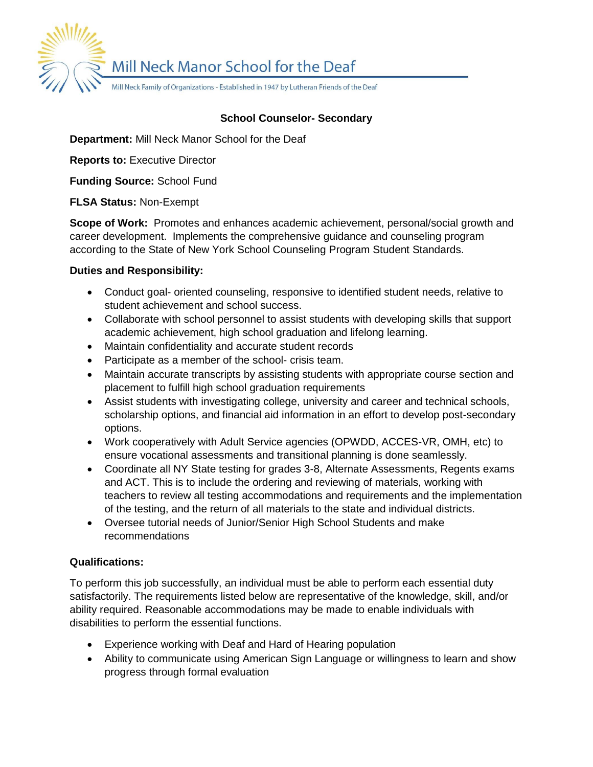Mill Neck Manor School for the Deaf

Mill Neck Family of Organizations - Established in 1947 by Lutheran Friends of the Deaf

# **School Counselor- Secondary**

**Department:** Mill Neck Manor School for the Deaf

**Reports to:** Executive Director

**Funding Source:** School Fund

**FLSA Status:** Non-Exempt

**Scope of Work:** Promotes and enhances academic achievement, personal/social growth and career development. Implements the comprehensive guidance and counseling program according to the State of New York School Counseling Program Student Standards.

## **Duties and Responsibility:**

- Conduct goal- oriented counseling, responsive to identified student needs, relative to student achievement and school success.
- Collaborate with school personnel to assist students with developing skills that support academic achievement, high school graduation and lifelong learning.
- Maintain confidentiality and accurate student records
- Participate as a member of the school- crisis team.
- Maintain accurate transcripts by assisting students with appropriate course section and placement to fulfill high school graduation requirements
- Assist students with investigating college, university and career and technical schools, scholarship options, and financial aid information in an effort to develop post-secondary options.
- Work cooperatively with Adult Service agencies (OPWDD, ACCES-VR, OMH, etc) to ensure vocational assessments and transitional planning is done seamlessly.
- Coordinate all NY State testing for grades 3-8, Alternate Assessments, Regents exams and ACT. This is to include the ordering and reviewing of materials, working with teachers to review all testing accommodations and requirements and the implementation of the testing, and the return of all materials to the state and individual districts.
- Oversee tutorial needs of Junior/Senior High School Students and make recommendations

## **Qualifications:**

To perform this job successfully, an individual must be able to perform each essential duty satisfactorily. The requirements listed below are representative of the knowledge, skill, and/or ability required. Reasonable accommodations may be made to enable individuals with disabilities to perform the essential functions.

- Experience working with Deaf and Hard of Hearing population
- Ability to communicate using American Sign Language or willingness to learn and show progress through formal evaluation